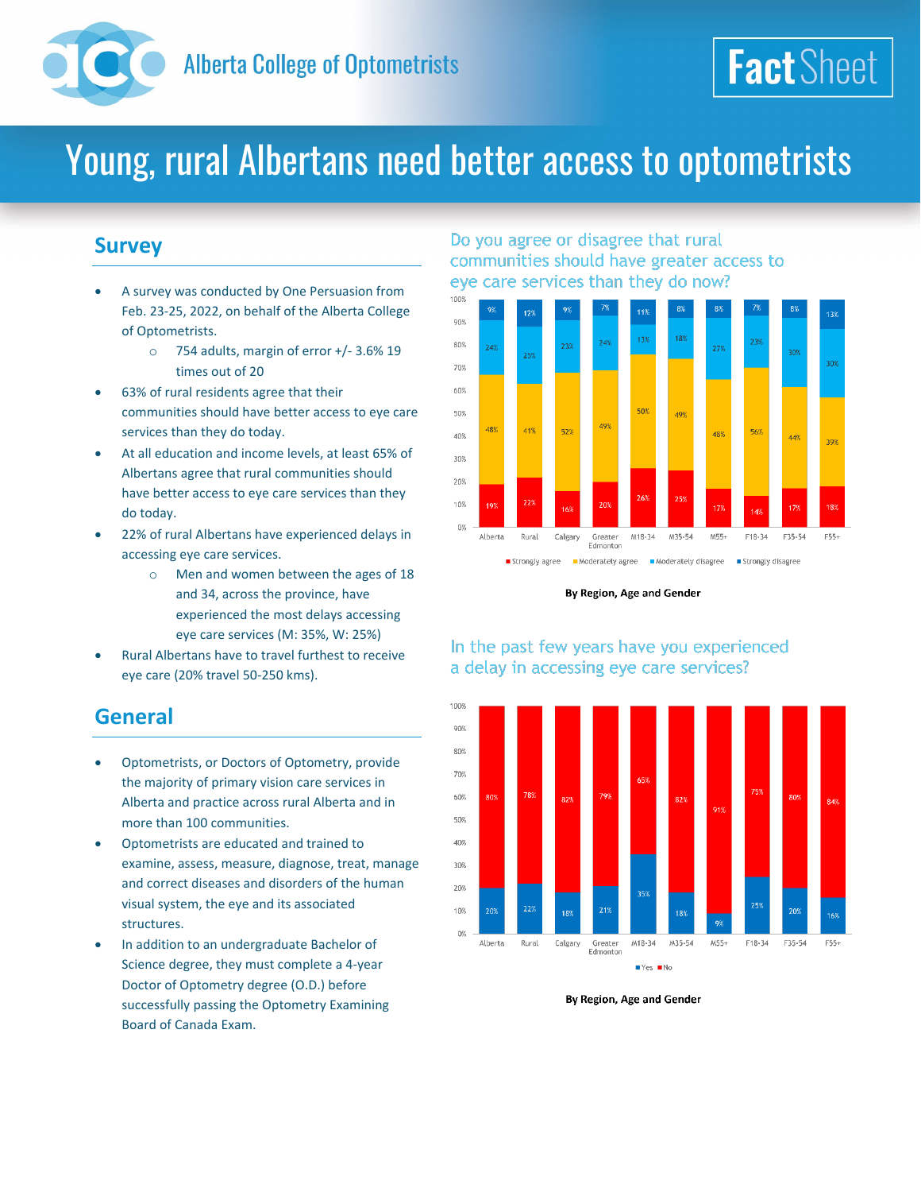

## Young, rural Albertans need better access to optometrists

## **Survey**

- A survey was conducted by One Persuasion from Feb. 23-25, 2022, on behalf of the Alberta College of Optometrists.
	- o 754 adults, margin of error +/- 3.6% 19 times out of 20
- 63% of rural residents agree that their communities should have better access to eye care services than they do today.
- At all education and income levels, at least 65% of Albertans agree that rural communities should have better access to eye care services than they do today.
- 22% of rural Albertans have experienced delays in accessing eye care services.
	- o Men and women between the ages of 18 and 34, across the province, have experienced the most delays accessing eye care services (M: 35%, W: 25%)
- Rural Albertans have to travel furthest to receive eye care (20% travel 50-250 kms).

## **General**

- Optometrists, or Doctors of Optometry, provide the majority of primary vision care services in Alberta and practice across rural Alberta and in more than 100 communities.
- Optometrists are educated and trained to examine, assess, measure, diagnose, treat, manage and correct diseases and disorders of the human visual system, the eye and its associated structures.
- In addition to an undergraduate Bachelor of Science degree, they must complete a 4-year Doctor of Optometry degree (O.D.) before successfully passing the Optometry Examining Board of Canada Exam.

#### Do you agree or disagree that rural communities should have greater access to eye care services than they do now?



**Fact** Sheet

By Region, Age and Gender

#### In the past few years have you experienced a delay in accessing eye care services?



By Region, Age and Gender